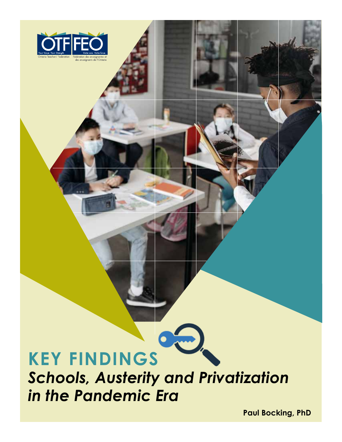

# **Key findings** *Schools, Austerity and Privatization in the Pandemic Era*

 $\bullet$ 

**Paul Bocking, PhD**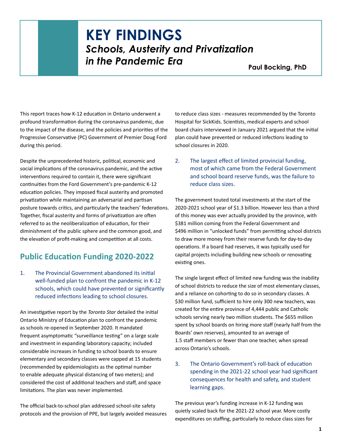## **KEY FINDINGS** *Schools, Austerity and Privatization in the Pandemic Era* Paul Bocking, PhD

This report traces how K-12 education in Ontario underwent a profound transformation during the coronavirus pandemic, due to the impact of the disease, and the policies and priorities of the Progressive Conservative (PC) Government of Premier Doug Ford during this period.

Despite the unprecedented historic, political, economic and social implications of the coronavirus pandemic, and the active interventions required to contain it, there were significant continuities from the Ford Government's pre-pandemic K-12 education policies. They imposed fiscal austerity and promoted privatization while maintaining an adversarial and partisan posture towards critics, and particularly the teachers' federations. Together, fiscal austerity and forms of privatization are often referred to as the neoliberalization of education, for their diminishment of the public sphere and the common good, and the elevation of profit-making and competition at all costs.

## **Public Education Funding 2020-2022**

1. The Provincial Government abandoned its initial well-funded plan to confront the pandemic in K-12 schools, which could have prevented or significantly reduced infections leading to school closures.

An investigative report by the *Toronto Star* detailed the initial Ontario Ministry of Education plan to confront the pandemic as schools re-opened in September 2020. It mandated frequent asymptomatic "surveillance testing" on a large scale and investment in expanding laboratory capacity; included considerable increases in funding to school boards to ensure elementary and secondary classes were capped at 15 students (recommended by epidemiologists as the optimal number to enable adequate physical distancing of two meters); and considered the cost of additional teachers and staff, and space limitations. The plan was never implemented.

The official back-to-school plan addressed school-site safety protocols and the provision of PPE, but largely avoided measures to reduce class sizes - measures recommended by the Toronto Hospital for SickKids. Scientists, medical experts and school board chairs interviewed in January 2021 argued that the initial plan could have prevented or reduced infections leading to school closures in 2020.

2. The largest effect of limited provincial funding, most of which came from the Federal Government and school board reserve funds, was the failure to reduce class sizes.

The government touted total investments at the start of the 2020-2021 school year of \$1.3 billion. However less than a third of this money was ever actually provided by the province, with \$381 million coming from the Federal Government and \$496 million in "unlocked funds" from permitting school districts to draw more money from their reserve funds for day-to-day operations. If a board had reserves, it was typically used for capital projects including building new schools or renovating existing ones.

The single largest effect of limited new funding was the inability of school districts to reduce the size of most elementary classes, and a reliance on cohorting to do so in secondary classes. A \$30 million fund, sufficient to hire only 300 new teachers, was created for the entire province of 4,444 public and Catholic schools serving nearly two million students. The \$655 million spent by school boards on hiring more staff (nearly half from the Boards' own reserves), amounted to an average of 1.5 staff members or fewer than one teacher, when spread across Ontario's schools.

3. The Ontario Government's roll-back of education spending in the 2021-22 school year had significant consequences for health and safety, and student learning gaps.

The previous year's funding increase in K-12 funding was quietly scaled back for the 2021-22 school year. More costly expenditures on staffing, particularly to reduce class sizes for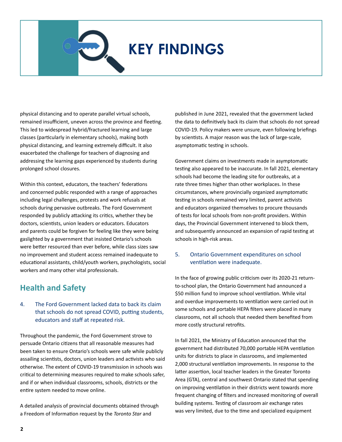Schools, Austerity and Privatization in the Pandemic Era

physical distancing and to operate parallel virtual schools, remained insufficient, uneven across the province and fleeting. This led to widespread hybrid/fractured learning and large classes (particularly in elementary schools), making both physical distancing, and learning extremely difficult. It also exacerbated the challenge for teachers of diagnosing and addressing the learning gaps experienced by students during prolonged school closures.

Within this context, educators, the teachers' federations and concerned public responded with a range of approaches including legal challenges, protests and work refusals at schools during pervasive outbreaks. The Ford Government responded by publicly attacking its critics, whether they be doctors, scientists, union leaders or educators. Educators and parents could be forgiven for feeling like they were being gaslighted by a government that insisted Ontario's schools were better resourced than ever before, while class sizes saw no improvement and student access remained inadequate to educational assistants, child/youth workers, psychologists, social workers and many other vital professionals.

### **Health and Safety**

#### 4. The Ford Government lacked data to back its claim that schools do not spread COVID, putting students, educators and staff at repeated risk.

Throughout the pandemic, the Ford Government strove to persuade Ontario citizens that all reasonable measures had been taken to ensure Ontario's schools were safe while publicly assailing scientists, doctors, union leaders and activists who said otherwise. The extent of COVID-19 transmission in schools was critical to determining measures required to make schools safer, and if or when individual classrooms, schools, districts or the entire system needed to move online.

A detailed analysis of provincial documents obtained through a Freedom of Information request by the *Toronto Star* and

published in June 2021, revealed that the government lacked the data to definitively back its claim that schools do not spread COVID-19. Policy makers were unsure, even following briefings by scientists. A major reason was the lack of large-scale, asymptomatic testing in schools.

Government claims on investments made in asymptomatic testing also appeared to be inaccurate. In fall 2021, elementary schools had become the leading site for outbreaks, at a rate three times higher than other workplaces. In these circumstances, where provincially organized asymptomatic testing in schools remained very limited, parent activists and educators organized themselves to procure thousands of tests for local schools from non-profit providers. Within days, the Provincial Government intervened to block them, and subsequently announced an expansion of rapid testing at schools in high-risk areas.

#### 5. Ontario Government expenditures on school ventilation were inadequate.

In the face of growing public criticism over its 2020-21 returnto-school plan, the Ontario Government had announced a \$50 million fund to improve school ventilation. While vital and overdue improvements to ventilation were carried out in some schools and portable HEPA filters were placed in many classrooms, not all schools that needed them benefited from more costly structural retrofits.

In fall 2021, the Ministry of Education announced that the government had distributed 70,000 portable HEPA ventilation units for districts to place in classrooms, and implemented 2,000 structural ventilation improvements. In response to the latter assertion, local teacher leaders in the Greater Toronto Area (GTA), central and southwest Ontario stated that spending on improving ventilation in their districts went towards more frequent changing of filters and increased monitoring of overall building systems. Testing of classroom air exchange rates was very limited, due to the time and specialized equipment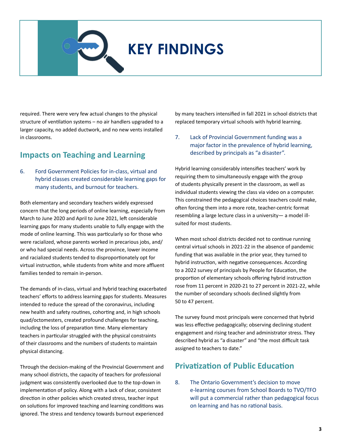Schools, Austerity and Privatization in the Pandemic Era

required. There were very few actual changes to the physical structure of ventilation systems – no air handlers upgraded to a larger capacity, no added ductwork, and no new vents installed in classrooms.

### **Impacts on Teaching and Learning**

6. Ford Government Policies for in-class, virtual and hybrid classes created considerable learning gaps for many students, and burnout for teachers.

Both elementary and secondary teachers widely expressed concern that the long periods of online learning, especially from March to June 2020 and April to June 2021, left considerable learning gaps for many students unable to fully engage with the mode of online learning. This was particularly so for those who were racialized, whose parents worked in precarious jobs, and/ or who had special needs. Across the province, lower income and racialized students tended to disproportionately opt for virtual instruction, while students from white and more affluent families tended to remain in-person.

The demands of in-class, virtual and hybrid teaching exacerbated teachers' efforts to address learning gaps for students. Measures intended to reduce the spread of the coronavirus, including new health and safety routines, cohorting and, in high schools quad/octomesters, created profound challenges for teaching, including the loss of preparation time. Many elementary teachers in particular struggled with the physical constraints of their classrooms and the numbers of students to maintain physical distancing.

Through the decision-making of the Provincial Government and many school districts, the capacity of teachers for professional judgment was consistently overlooked due to the top-down in implementation of policy. Along with a lack of clear, consistent direction in other policies which created stress, teacher input on solutions for improved teaching and learning conditions was ignored. The stress and tendency towards burnout experienced by many teachers intensified in fall 2021 in school districts that replaced temporary virtual schools with hybrid learning.

7. Lack of Provincial Government funding was a major factor in the prevalence of hybrid learning, described by principals as "a disaster".

Hybrid learning considerably intensifies teachers' work by requiring them to simultaneously engage with the group of students physically present in the classroom, as well as individual students viewing the class via video on a computer. This constrained the pedagogical choices teachers could make, often forcing them into a more rote, teacher-centric format resembling a large lecture class in a university— a model illsuited for most students.

When most school districts decided not to continue running central virtual schools in 2021-22 in the absence of pandemic funding that was available in the prior year, they turned to hybrid instruction, with negative consequences. According to a 2022 survey of principals by People for Education, the proportion of elementary schools offering hybrid instruction rose from 11 percent in 2020-21 to 27 percent in 2021-22, while the number of secondary schools declined slightly from 50 to 47 percent.

The survey found most principals were concerned that hybrid was less effective pedagogically; observing declining student engagement and rising teacher and administrator stress. They described hybrid as "a disaster" and "the most difficult task assigned to teachers to date."

### **Privatization of Public Education**

8. The Ontario Government's decision to move e-learning courses from School Boards to TVO/TFO will put a commercial rather than pedagogical focus on learning and has no rational basis.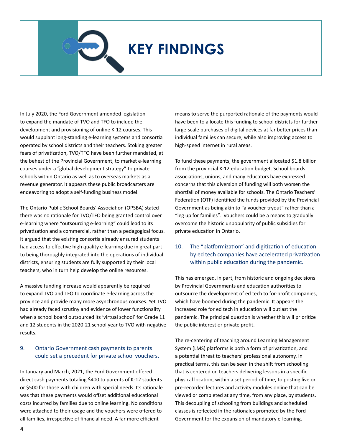Schools, Austerity and Privatization in the Pandemic Era

In July 2020, the Ford Government amended legislation to expand the mandate of TVO and TFO to include the development and provisioning of online K-12 courses. This would supplant long-standing e-learning systems and consortia operated by school districts and their teachers. Stoking greater fears of privatization, TVO/TFO have been further mandated, at the behest of the Provincial Government, to market e-learning courses under a "global development strategy" to private schools within Ontario as well as to overseas markets as a revenue generator. It appears these public broadcasters are endeavoring to adopt a self-funding business model.

The Ontario Public School Boards' Association (OPSBA) stated there was no rationale for TVO/TFO being granted control over e-learning where "outsourcing e-learning" could lead to its privatization and a commercial, rather than a pedagogical focus. It argued that the existing consortia already ensured students had access to effective high quality e-learning due in great part to being thoroughly integrated into the operations of individual districts, ensuring students are fully supported by their local teachers, who in turn help develop the online resources.

A massive funding increase would apparently be required to expand TVO and TFO to coordinate e-learning across the province and provide many more asynchronous courses. Yet TVO had already faced scrutiny and evidence of lower functionality when a school board outsourced its 'virtual school' for Grade 11 and 12 students in the 2020-21 school year to TVO with negative results.

#### 9. Ontario Government cash payments to parents could set a precedent for private school vouchers.

In January and March, 2021, the Ford Government offered direct cash payments totaling \$400 to parents of K-12 students or \$500 for those with children with special needs. Its rationale was that these payments would offset additional educational costs incurred by families due to online learning. No conditions were attached to their usage and the vouchers were offered to all families, irrespective of financial need. A far more efficient

means to serve the purported rationale of the payments would have been to allocate this funding to school districts for further large-scale purchases of digital devices at far better prices than individual families can secure, while also improving access to high-speed internet in rural areas.

To fund these payments, the government allocated \$1.8 billion from the provincial K-12 education budget. School boards associations, unions, and many educators have expressed concerns that this diversion of funding will both worsen the shortfall of money available for schools. The Ontario Teachers' Federation (OTF) identified the funds provided by the Provincial Government as being akin to "a voucher tryout" rather than a "leg up for families". Vouchers could be a means to gradually overcome the historic unpopularity of public subsidies for private education in Ontario.

#### 10. The "platformization" and digitization of education by ed tech companies have accelerated privatization within public education during the pandemic.

This has emerged, in part, from historic and ongoing decisions by Provincial Governments and education authorities to outsource the development of ed tech to for-profit companies, which have boomed during the pandemic. It appears the increased role for ed tech in education will outlast the pandemic. The principal question is whether this will prioritize the public interest or private profit.

The re-centering of teaching around Learning Management System (LMS) platforms is both a form of privatization, and a potential threat to teachers' professional autonomy. In practical terms, this can be seen in the shift from schooling that is centered on teachers delivering lessons in a specific physical location, within a set period of time, to posting live or pre-recorded lectures and activity modules online that can be viewed or completed at any time, from any place, by students. This decoupling of schooling from buildings and scheduled classes is reflected in the rationales promoted by the Ford Government for the expansion of mandatory e-learning.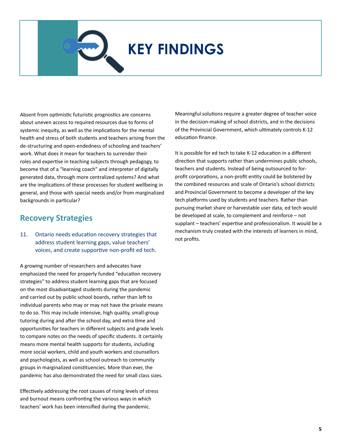Schools, Austerity and Privatization in the Pandemic Era

Absent from optimistic futuristic prognostics are concerns about uneven access to required resources due to forms of systemic inequity, as well as the implications for the mental health and stress of both students and teachers arising from the de-structuring and open-endedness of schooling and teachers' work. What does it mean for teachers to surrender their roles and expertise in teaching subjects through pedagogy, to become that of a "learning coach" and interpreter of digitally generated data, through more centralized systems? And what are the implications of these processes for student wellbeing in general, and those with special needs and/or from marginalized backgrounds in particular?

### **Recovery Strategies**

#### 11. Ontario needs education recovery strategies that address student learning gaps, value teachers' voices, and create supportive non-profit ed tech.

A growing number of researchers and advocates have emphasized the need for properly funded "education recovery strategies" to address student learning gaps that are focused on the most disadvantaged students during the pandemic and carried out by public school boards, rather than left to individual parents who may or may not have the private means to do so. This may include intensive, high quality, small-group tutoring during and after the school day, and extra time and opportunities for teachers in different subjects and grade levels to compare notes on the needs of specific students. It certainly means more mental health supports for students, including more social workers, child and youth workers and counsellors and psychologists, as well as school outreach to community groups in marginalized constituencies. More than ever, the pandemic has also demonstrated the need for small class sizes.

Effectively addressing the root causes of rising levels of stress and burnout means confronting the various ways in which teachers' work has been intensified during the pandemic.

Meaningful solutions require a greater degree of teacher voice in the decision-making of school districts, and in the decisions of the Provincial Government, which ultimately controls K-12 education finance.

It is possible for ed tech to take K-12 education in a different direction that supports rather than undermines public schools, teachers and students. Instead of being outsourced to forprofit corporations, a non-profit entity could be bolstered by the combined resources and scale of Ontario's school districts and Provincial Government to become a developer of the key tech platforms used by students and teachers. Rather than pursuing market share or harvestable user data, ed tech would be developed at scale, to complement and reinforce – not supplant – teachers' expertise and professionalism. It would be a mechanism truly created with the interests of learners in mind, not profits.